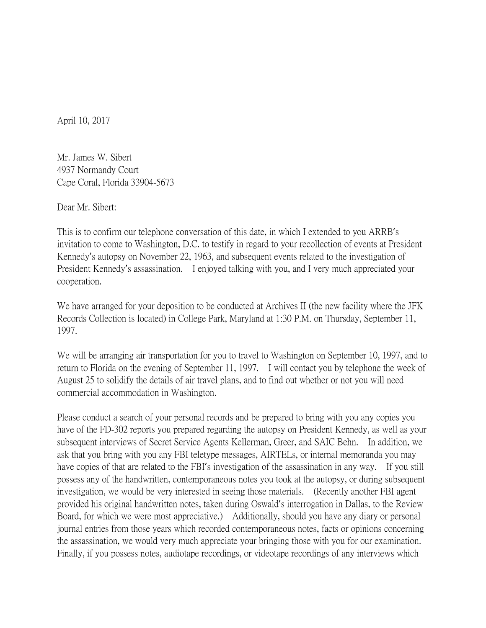April 10, 2017

Mr. James W. Sibert 4937 Normandy Court Cape Coral, Florida 33904-5673

Dear Mr. Sibert:

This is to confirm our telephone conversation of this date, in which I extended to you ARRB's invitation to come to Washington, D.C. to testify in regard to your recollection of events at President Kennedy's autopsy on November 22, 1963, and subsequent events related to the investigation of President Kennedy's assassination. I enjoyed talking with you, and I very much appreciated your cooperation.

We have arranged for your deposition to be conducted at Archives II (the new facility where the JFK Records Collection is located) in College Park, Maryland at 1:30 P.M. on Thursday, September 11, 1997.

We will be arranging air transportation for you to travel to Washington on September 10, 1997, and to return to Florida on the evening of September 11, 1997. I will contact you by telephone the week of August 25 to solidify the details of air travel plans, and to find out whether or not you will need commercial accommodation in Washington.

Please conduct a search of your personal records and be prepared to bring with you any copies you have of the FD-302 reports you prepared regarding the autopsy on President Kennedy, as well as your subsequent interviews of Secret Service Agents Kellerman, Greer, and SAIC Behn. In addition, we ask that you bring with you any FBI teletype messages, AIRTELs, or internal memoranda you may have copies of that are related to the FBI's investigation of the assassination in any way. If you still possess any of the handwritten, contemporaneous notes you took at the autopsy, or during subsequent investigation, we would be very interested in seeing those materials. (Recently another FBI agent provided his original handwritten notes, taken during Oswald's interrogation in Dallas, to the Review Board, for which we were most appreciative.) Additionally, should you have any diary or personal journal entries from those years which recorded contemporaneous notes, facts or opinions concerning the assassination, we would very much appreciate your bringing those with you for our examination. Finally, if you possess notes, audiotape recordings, or videotape recordings of any interviews which